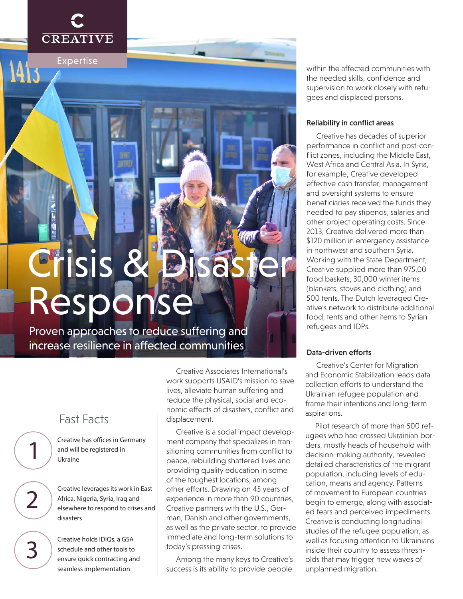

1413

Expertise

# Crisis 8 Response

Proven approaches to reduce suffering and increase resilience in affected communities

# Fast Facts

1

2

3

Creative has offices in Germany and will be registered in Ukraine

Creative leverages its work in East Africa, Nigeria, Syria, Iraq and elsewhere to respond to crises and disasters

Creative holds IDIQs, a GSA schedule and other tools to ensure quick contracting and seamless implementation

Creative Associates International's work supports USAID's mission to save lives, alleviate human suffering and reduce the physical, social and economic effects of disasters, conflict and displacement.

Creative is a social impact development company that specializes in transitioning communities from conflict to peace, rebuilding shattered lives and providing quality education in some of the toughest locations, among other efforts. Drawing on 45 years of experience in more than 90 countries, Creative partners with the U.S., German, Danish and other governments, as well as the private sector, to provide immediate and long-term solutions to today's pressing crises.

Among the many keys to Creative's success is its ability to provide people

within the affected communities with the needed skills, confidence and supervision to work closely with refugees and displaced persons.

#### Reliability in conflict areas

Creative has decades of superior performance in conflict and post-conflict zones, including the Middle East, West Africa and Central Asia. In Syria, for example, Creative developed effective cash transfer, management and oversight systems to ensure beneficiaries received the funds they needed to pay stipends, salaries and other project operating costs. Since 2013, Creative delivered more than \$120 million in emergency assistance in northwest and southern Syria. Working with the State Department, Creative supplied more than 975,00 food baskets, 30,000 winter items (blankets, stoves and clothing) and 500 tents. The Dutch leveraged Creative's network to distribute additional food, tents and other items to Syrian refugees and IDPs.

#### Data-driven efforts

Creative's Center for Migration and Economic Stabilization leads data collection efforts to understand the Ukrainian refugee population and frame their intentions and long-term aspirations.

Pilot research of more than 500 refugees who had crossed Ukrainian borders, mostly heads of household with decision-making authority, revealed detailed characteristics of the migrant population, including levels of education, means and agency. Patterns of movement to European countries begin to emerge, along with associated fears and perceived impediments. Creative is conducting longitudinal studies of the refugee population, as well as focusing attention to Ukrainians inside their country to assess thresholds that may trigger new waves of unplanned migration.